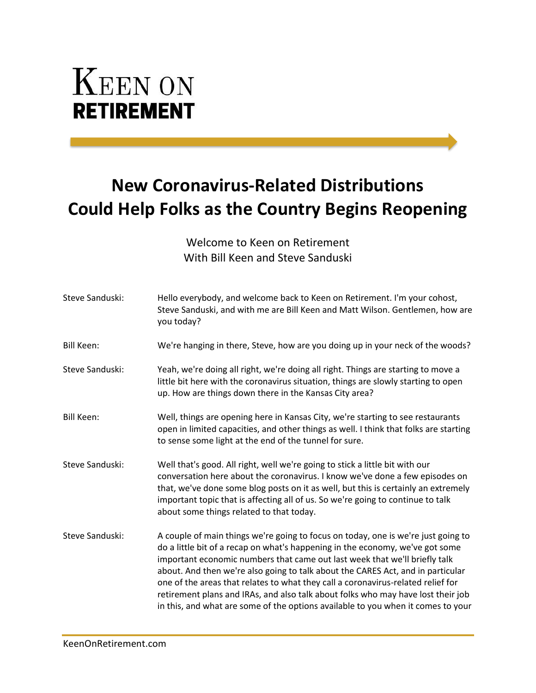## **KEEN ON RETIREMENT**

## **New Coronavirus-Related Distributions Could Help Folks as the Country Begins Reopening**

Welcome to Keen on Retirement With Bill Keen and Steve Sanduski

| Steve Sanduski:   | Hello everybody, and welcome back to Keen on Retirement. I'm your cohost,<br>Steve Sanduski, and with me are Bill Keen and Matt Wilson. Gentlemen, how are<br>you today?                                                                                                                                                                                                                                                                                                                                                                                                                        |
|-------------------|-------------------------------------------------------------------------------------------------------------------------------------------------------------------------------------------------------------------------------------------------------------------------------------------------------------------------------------------------------------------------------------------------------------------------------------------------------------------------------------------------------------------------------------------------------------------------------------------------|
| Bill Keen:        | We're hanging in there, Steve, how are you doing up in your neck of the woods?                                                                                                                                                                                                                                                                                                                                                                                                                                                                                                                  |
| Steve Sanduski:   | Yeah, we're doing all right, we're doing all right. Things are starting to move a<br>little bit here with the coronavirus situation, things are slowly starting to open<br>up. How are things down there in the Kansas City area?                                                                                                                                                                                                                                                                                                                                                               |
| <b>Bill Keen:</b> | Well, things are opening here in Kansas City, we're starting to see restaurants<br>open in limited capacities, and other things as well. I think that folks are starting<br>to sense some light at the end of the tunnel for sure.                                                                                                                                                                                                                                                                                                                                                              |
| Steve Sanduski:   | Well that's good. All right, well we're going to stick a little bit with our<br>conversation here about the coronavirus. I know we've done a few episodes on<br>that, we've done some blog posts on it as well, but this is certainly an extremely<br>important topic that is affecting all of us. So we're going to continue to talk<br>about some things related to that today.                                                                                                                                                                                                               |
| Steve Sanduski:   | A couple of main things we're going to focus on today, one is we're just going to<br>do a little bit of a recap on what's happening in the economy, we've got some<br>important economic numbers that came out last week that we'll briefly talk<br>about. And then we're also going to talk about the CARES Act, and in particular<br>one of the areas that relates to what they call a coronavirus-related relief for<br>retirement plans and IRAs, and also talk about folks who may have lost their job<br>in this, and what are some of the options available to you when it comes to your |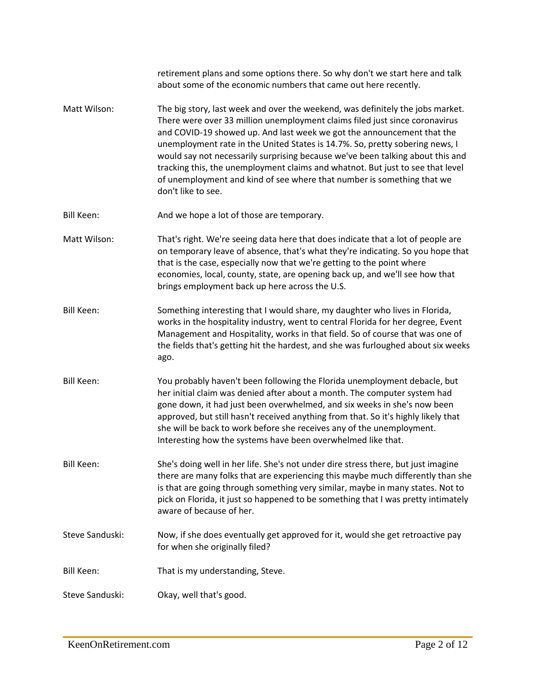|                   | retirement plans and some options there. So why don't we start here and talk<br>about some of the economic numbers that came out here recently.                                                                                                                                                                                                                                                                                                                                                                                                                                             |
|-------------------|---------------------------------------------------------------------------------------------------------------------------------------------------------------------------------------------------------------------------------------------------------------------------------------------------------------------------------------------------------------------------------------------------------------------------------------------------------------------------------------------------------------------------------------------------------------------------------------------|
| Matt Wilson:      | The big story, last week and over the weekend, was definitely the jobs market.<br>There were over 33 million unemployment claims filed just since coronavirus<br>and COVID-19 showed up. And last week we got the announcement that the<br>unemployment rate in the United States is 14.7%. So, pretty sobering news, I<br>would say not necessarily surprising because we've been talking about this and<br>tracking this, the unemployment claims and whatnot. But just to see that level<br>of unemployment and kind of see where that number is something that we<br>don't like to see. |
| <b>Bill Keen:</b> | And we hope a lot of those are temporary.                                                                                                                                                                                                                                                                                                                                                                                                                                                                                                                                                   |
| Matt Wilson:      | That's right. We're seeing data here that does indicate that a lot of people are<br>on temporary leave of absence, that's what they're indicating. So you hope that<br>that is the case, especially now that we're getting to the point where<br>economies, local, county, state, are opening back up, and we'll see how that<br>brings employment back up here across the U.S.                                                                                                                                                                                                             |
| <b>Bill Keen:</b> | Something interesting that I would share, my daughter who lives in Florida,<br>works in the hospitality industry, went to central Florida for her degree, Event<br>Management and Hospitality, works in that field. So of course that was one of<br>the fields that's getting hit the hardest, and she was furloughed about six weeks<br>ago.                                                                                                                                                                                                                                               |
| <b>Bill Keen:</b> | You probably haven't been following the Florida unemployment debacle, but<br>her initial claim was denied after about a month. The computer system had<br>gone down, it had just been overwhelmed, and six weeks in she's now been<br>approved, but still hasn't received anything from that. So it's highly likely that<br>she will be back to work before she receives any of the unemployment.<br>Interesting how the systems have been overwhelmed like that.                                                                                                                           |
| <b>Bill Keen:</b> | She's doing well in her life. She's not under dire stress there, but just imagine<br>there are many folks that are experiencing this maybe much differently than she<br>is that are going through something very similar, maybe in many states. Not to<br>pick on Florida, it just so happened to be something that I was pretty intimately<br>aware of because of her.                                                                                                                                                                                                                     |
| Steve Sanduski:   | Now, if she does eventually get approved for it, would she get retroactive pay<br>for when she originally filed?                                                                                                                                                                                                                                                                                                                                                                                                                                                                            |
| <b>Bill Keen:</b> | That is my understanding, Steve.                                                                                                                                                                                                                                                                                                                                                                                                                                                                                                                                                            |
| Steve Sanduski:   | Okay, well that's good.                                                                                                                                                                                                                                                                                                                                                                                                                                                                                                                                                                     |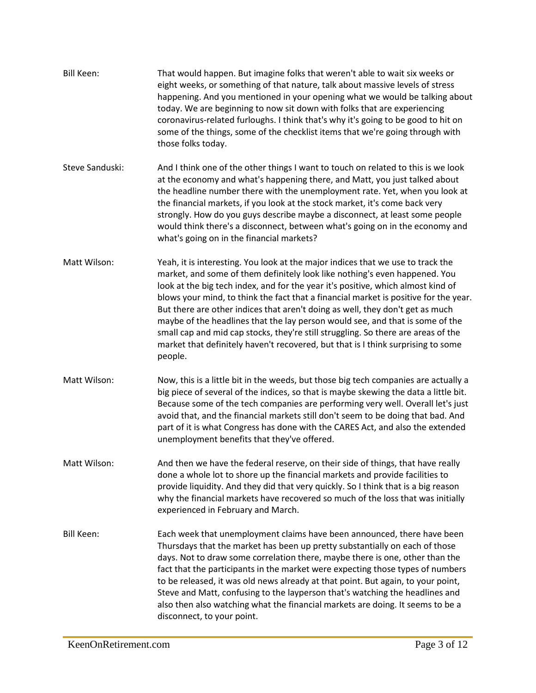| <b>Bill Keen:</b> | That would happen. But imagine folks that weren't able to wait six weeks or<br>eight weeks, or something of that nature, talk about massive levels of stress<br>happening. And you mentioned in your opening what we would be talking about<br>today. We are beginning to now sit down with folks that are experiencing<br>coronavirus-related furloughs. I think that's why it's going to be good to hit on<br>some of the things, some of the checklist items that we're going through with<br>those folks today.                                                                                                                                                                             |
|-------------------|-------------------------------------------------------------------------------------------------------------------------------------------------------------------------------------------------------------------------------------------------------------------------------------------------------------------------------------------------------------------------------------------------------------------------------------------------------------------------------------------------------------------------------------------------------------------------------------------------------------------------------------------------------------------------------------------------|
| Steve Sanduski:   | And I think one of the other things I want to touch on related to this is we look<br>at the economy and what's happening there, and Matt, you just talked about<br>the headline number there with the unemployment rate. Yet, when you look at<br>the financial markets, if you look at the stock market, it's come back very<br>strongly. How do you guys describe maybe a disconnect, at least some people<br>would think there's a disconnect, between what's going on in the economy and<br>what's going on in the financial markets?                                                                                                                                                       |
| Matt Wilson:      | Yeah, it is interesting. You look at the major indices that we use to track the<br>market, and some of them definitely look like nothing's even happened. You<br>look at the big tech index, and for the year it's positive, which almost kind of<br>blows your mind, to think the fact that a financial market is positive for the year.<br>But there are other indices that aren't doing as well, they don't get as much<br>maybe of the headlines that the lay person would see, and that is some of the<br>small cap and mid cap stocks, they're still struggling. So there are areas of the<br>market that definitely haven't recovered, but that is I think surprising to some<br>people. |
| Matt Wilson:      | Now, this is a little bit in the weeds, but those big tech companies are actually a<br>big piece of several of the indices, so that is maybe skewing the data a little bit.<br>Because some of the tech companies are performing very well. Overall let's just<br>avoid that, and the financial markets still don't seem to be doing that bad. And<br>part of it is what Congress has done with the CARES Act, and also the extended<br>unemployment benefits that they've offered.                                                                                                                                                                                                             |
| Matt Wilson:      | And then we have the federal reserve, on their side of things, that have really<br>done a whole lot to shore up the financial markets and provide facilities to<br>provide liquidity. And they did that very quickly. So I think that is a big reason<br>why the financial markets have recovered so much of the loss that was initially<br>experienced in February and March.                                                                                                                                                                                                                                                                                                                  |
| <b>Bill Keen:</b> | Each week that unemployment claims have been announced, there have been<br>Thursdays that the market has been up pretty substantially on each of those<br>days. Not to draw some correlation there, maybe there is one, other than the<br>fact that the participants in the market were expecting those types of numbers<br>to be released, it was old news already at that point. But again, to your point,<br>Steve and Matt, confusing to the layperson that's watching the headlines and<br>also then also watching what the financial markets are doing. It seems to be a<br>disconnect, to your point.                                                                                    |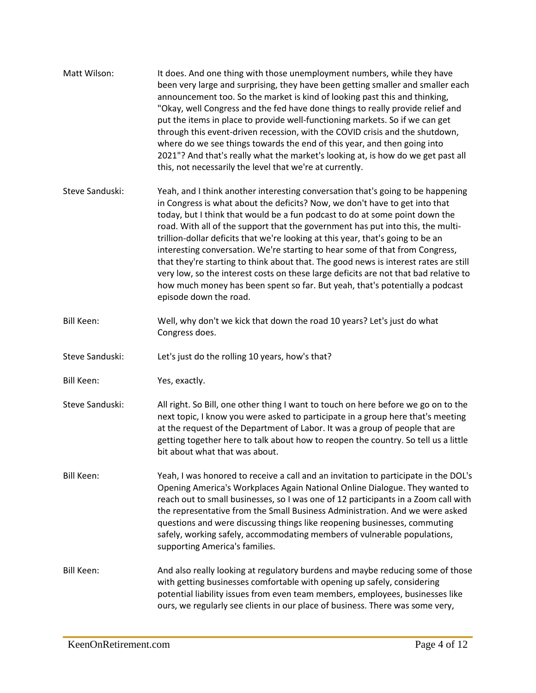| Matt Wilson:      | It does. And one thing with those unemployment numbers, while they have<br>been very large and surprising, they have been getting smaller and smaller each<br>announcement too. So the market is kind of looking past this and thinking,<br>"Okay, well Congress and the fed have done things to really provide relief and<br>put the items in place to provide well-functioning markets. So if we can get<br>through this event-driven recession, with the COVID crisis and the shutdown,<br>where do we see things towards the end of this year, and then going into<br>2021"? And that's really what the market's looking at, is how do we get past all<br>this, not necessarily the level that we're at currently.                                                                        |
|-------------------|-----------------------------------------------------------------------------------------------------------------------------------------------------------------------------------------------------------------------------------------------------------------------------------------------------------------------------------------------------------------------------------------------------------------------------------------------------------------------------------------------------------------------------------------------------------------------------------------------------------------------------------------------------------------------------------------------------------------------------------------------------------------------------------------------|
| Steve Sanduski:   | Yeah, and I think another interesting conversation that's going to be happening<br>in Congress is what about the deficits? Now, we don't have to get into that<br>today, but I think that would be a fun podcast to do at some point down the<br>road. With all of the support that the government has put into this, the multi-<br>trillion-dollar deficits that we're looking at this year, that's going to be an<br>interesting conversation. We're starting to hear some of that from Congress,<br>that they're starting to think about that. The good news is interest rates are still<br>very low, so the interest costs on these large deficits are not that bad relative to<br>how much money has been spent so far. But yeah, that's potentially a podcast<br>episode down the road. |
| <b>Bill Keen:</b> | Well, why don't we kick that down the road 10 years? Let's just do what<br>Congress does.                                                                                                                                                                                                                                                                                                                                                                                                                                                                                                                                                                                                                                                                                                     |
| Steve Sanduski:   | Let's just do the rolling 10 years, how's that?                                                                                                                                                                                                                                                                                                                                                                                                                                                                                                                                                                                                                                                                                                                                               |
| <b>Bill Keen:</b> | Yes, exactly.                                                                                                                                                                                                                                                                                                                                                                                                                                                                                                                                                                                                                                                                                                                                                                                 |
| Steve Sanduski:   | All right. So Bill, one other thing I want to touch on here before we go on to the<br>next topic, I know you were asked to participate in a group here that's meeting<br>at the request of the Department of Labor. It was a group of people that are<br>getting together here to talk about how to reopen the country. So tell us a little<br>bit about what that was about.                                                                                                                                                                                                                                                                                                                                                                                                                 |
| Bill Keen:        | Yeah, I was honored to receive a call and an invitation to participate in the DOL's<br>Opening America's Workplaces Again National Online Dialogue. They wanted to<br>reach out to small businesses, so I was one of 12 participants in a Zoom call with<br>the representative from the Small Business Administration. And we were asked<br>questions and were discussing things like reopening businesses, commuting<br>safely, working safely, accommodating members of vulnerable populations,<br>supporting America's families.                                                                                                                                                                                                                                                           |
| Bill Keen:        | And also really looking at regulatory burdens and maybe reducing some of those<br>with getting businesses comfortable with opening up safely, considering<br>potential liability issues from even team members, employees, businesses like<br>ours, we regularly see clients in our place of business. There was some very,                                                                                                                                                                                                                                                                                                                                                                                                                                                                   |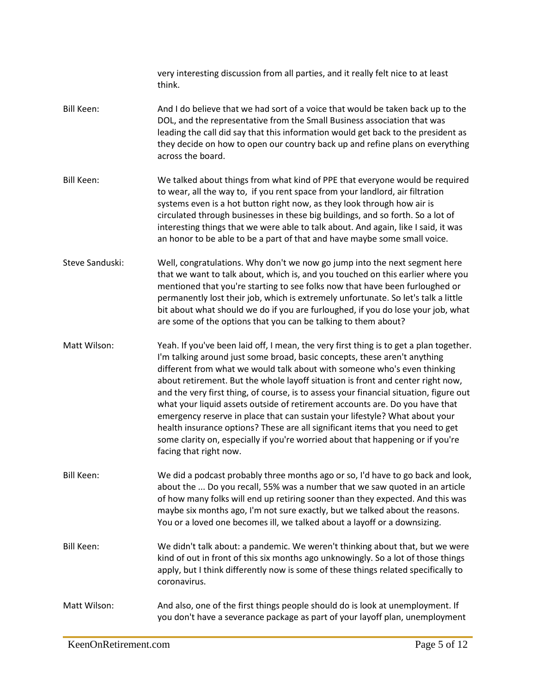|                   | very interesting discussion from all parties, and it really felt nice to at least<br>think.                                                                                                                                                                                                                                                                                                                                                                                                                                                                                                                                                                                                                                                                                                |
|-------------------|--------------------------------------------------------------------------------------------------------------------------------------------------------------------------------------------------------------------------------------------------------------------------------------------------------------------------------------------------------------------------------------------------------------------------------------------------------------------------------------------------------------------------------------------------------------------------------------------------------------------------------------------------------------------------------------------------------------------------------------------------------------------------------------------|
| <b>Bill Keen:</b> | And I do believe that we had sort of a voice that would be taken back up to the<br>DOL, and the representative from the Small Business association that was<br>leading the call did say that this information would get back to the president as<br>they decide on how to open our country back up and refine plans on everything<br>across the board.                                                                                                                                                                                                                                                                                                                                                                                                                                     |
| <b>Bill Keen:</b> | We talked about things from what kind of PPE that everyone would be required<br>to wear, all the way to, if you rent space from your landlord, air filtration<br>systems even is a hot button right now, as they look through how air is<br>circulated through businesses in these big buildings, and so forth. So a lot of<br>interesting things that we were able to talk about. And again, like I said, it was<br>an honor to be able to be a part of that and have maybe some small voice.                                                                                                                                                                                                                                                                                             |
| Steve Sanduski:   | Well, congratulations. Why don't we now go jump into the next segment here<br>that we want to talk about, which is, and you touched on this earlier where you<br>mentioned that you're starting to see folks now that have been furloughed or<br>permanently lost their job, which is extremely unfortunate. So let's talk a little<br>bit about what should we do if you are furloughed, if you do lose your job, what<br>are some of the options that you can be talking to them about?                                                                                                                                                                                                                                                                                                  |
| Matt Wilson:      | Yeah. If you've been laid off, I mean, the very first thing is to get a plan together.<br>I'm talking around just some broad, basic concepts, these aren't anything<br>different from what we would talk about with someone who's even thinking<br>about retirement. But the whole layoff situation is front and center right now,<br>and the very first thing, of course, is to assess your financial situation, figure out<br>what your liquid assets outside of retirement accounts are. Do you have that<br>emergency reserve in place that can sustain your lifestyle? What about your<br>health insurance options? These are all significant items that you need to get<br>some clarity on, especially if you're worried about that happening or if you're<br>facing that right now. |
| <b>Bill Keen:</b> | We did a podcast probably three months ago or so, I'd have to go back and look,<br>about the  Do you recall, 55% was a number that we saw quoted in an article<br>of how many folks will end up retiring sooner than they expected. And this was<br>maybe six months ago, I'm not sure exactly, but we talked about the reasons.<br>You or a loved one becomes ill, we talked about a layoff or a downsizing.                                                                                                                                                                                                                                                                                                                                                                              |
| <b>Bill Keen:</b> | We didn't talk about: a pandemic. We weren't thinking about that, but we were<br>kind of out in front of this six months ago unknowingly. So a lot of those things<br>apply, but I think differently now is some of these things related specifically to<br>coronavirus.                                                                                                                                                                                                                                                                                                                                                                                                                                                                                                                   |
| Matt Wilson:      | And also, one of the first things people should do is look at unemployment. If<br>you don't have a severance package as part of your layoff plan, unemployment                                                                                                                                                                                                                                                                                                                                                                                                                                                                                                                                                                                                                             |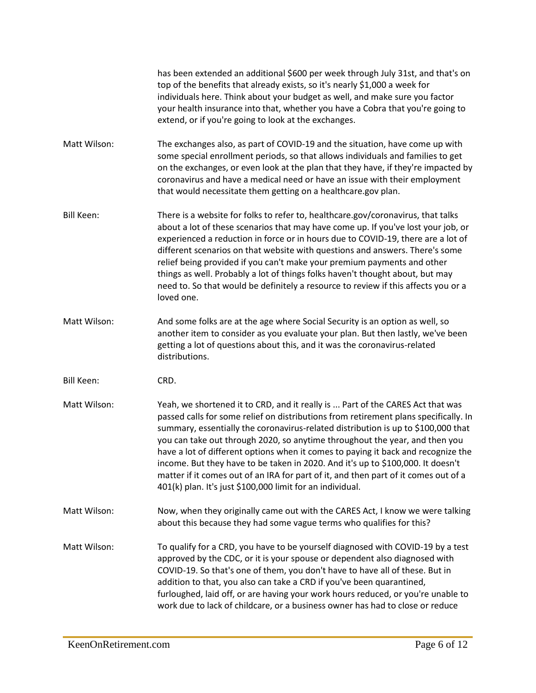has been extended an additional \$600 per week through July 31st, and that's on top of the benefits that already exists, so it's nearly \$1,000 a week for individuals here. Think about your budget as well, and make sure you factor your health insurance into that, whether you have a Cobra that you're going to extend, or if you're going to look at the exchanges.

Matt Wilson: The exchanges also, as part of COVID-19 and the situation, have come up with some special enrollment periods, so that allows individuals and families to get on the exchanges, or even look at the plan that they have, if they're impacted by coronavirus and have a medical need or have an issue with their employment that would necessitate them getting on a healthcare.gov plan.

- Bill Keen: There is a website for folks to refer to, healthcare.gov/coronavirus, that talks about a lot of these scenarios that may have come up. If you've lost your job, or experienced a reduction in force or in hours due to COVID-19, there are a lot of different scenarios on that website with questions and answers. There's some relief being provided if you can't make your premium payments and other things as well. Probably a lot of things folks haven't thought about, but may need to. So that would be definitely a resource to review if this affects you or a loved one.
- Matt Wilson: And some folks are at the age where Social Security is an option as well, so another item to consider as you evaluate your plan. But then lastly, we've been getting a lot of questions about this, and it was the coronavirus-related distributions.
- Bill Keen: CRD.
- Matt Wilson: Yeah, we shortened it to CRD, and it really is ... Part of the CARES Act that was passed calls for some relief on distributions from retirement plans specifically. In summary, essentially the coronavirus-related distribution is up to \$100,000 that you can take out through 2020, so anytime throughout the year, and then you have a lot of different options when it comes to paying it back and recognize the income. But they have to be taken in 2020. And it's up to \$100,000. It doesn't matter if it comes out of an IRA for part of it, and then part of it comes out of a 401(k) plan. It's just \$100,000 limit for an individual.
- Matt Wilson: Now, when they originally came out with the CARES Act, I know we were talking about this because they had some vague terms who qualifies for this?

Matt Wilson: To qualify for a CRD, you have to be yourself diagnosed with COVID-19 by a test approved by the CDC, or it is your spouse or dependent also diagnosed with COVID-19. So that's one of them, you don't have to have all of these. But in addition to that, you also can take a CRD if you've been quarantined, furloughed, laid off, or are having your work hours reduced, or you're unable to work due to lack of childcare, or a business owner has had to close or reduce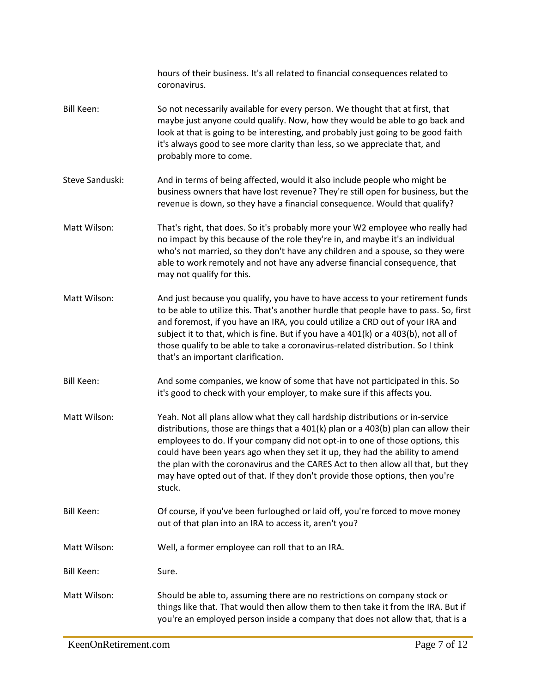|                   | hours of their business. It's all related to financial consequences related to<br>coronavirus.                                                                                                                                                                                                                                                                                                                                                                                                                      |
|-------------------|---------------------------------------------------------------------------------------------------------------------------------------------------------------------------------------------------------------------------------------------------------------------------------------------------------------------------------------------------------------------------------------------------------------------------------------------------------------------------------------------------------------------|
| <b>Bill Keen:</b> | So not necessarily available for every person. We thought that at first, that<br>maybe just anyone could qualify. Now, how they would be able to go back and<br>look at that is going to be interesting, and probably just going to be good faith<br>it's always good to see more clarity than less, so we appreciate that, and<br>probably more to come.                                                                                                                                                           |
| Steve Sanduski:   | And in terms of being affected, would it also include people who might be<br>business owners that have lost revenue? They're still open for business, but the<br>revenue is down, so they have a financial consequence. Would that qualify?                                                                                                                                                                                                                                                                         |
| Matt Wilson:      | That's right, that does. So it's probably more your W2 employee who really had<br>no impact by this because of the role they're in, and maybe it's an individual<br>who's not married, so they don't have any children and a spouse, so they were<br>able to work remotely and not have any adverse financial consequence, that<br>may not qualify for this.                                                                                                                                                        |
| Matt Wilson:      | And just because you qualify, you have to have access to your retirement funds<br>to be able to utilize this. That's another hurdle that people have to pass. So, first<br>and foremost, if you have an IRA, you could utilize a CRD out of your IRA and<br>subject it to that, which is fine. But if you have a 401(k) or a 403(b), not all of<br>those qualify to be able to take a coronavirus-related distribution. So I think<br>that's an important clarification.                                            |
| <b>Bill Keen:</b> | And some companies, we know of some that have not participated in this. So<br>it's good to check with your employer, to make sure if this affects you.                                                                                                                                                                                                                                                                                                                                                              |
| Matt Wilson:      | Yeah. Not all plans allow what they call hardship distributions or in-service<br>distributions, those are things that a 401(k) plan or a 403(b) plan can allow their<br>employees to do. If your company did not opt-in to one of those options, this<br>could have been years ago when they set it up, they had the ability to amend<br>the plan with the coronavirus and the CARES Act to then allow all that, but they<br>may have opted out of that. If they don't provide those options, then you're<br>stuck. |
| <b>Bill Keen:</b> | Of course, if you've been furloughed or laid off, you're forced to move money<br>out of that plan into an IRA to access it, aren't you?                                                                                                                                                                                                                                                                                                                                                                             |
| Matt Wilson:      | Well, a former employee can roll that to an IRA.                                                                                                                                                                                                                                                                                                                                                                                                                                                                    |
| Bill Keen:        | Sure.                                                                                                                                                                                                                                                                                                                                                                                                                                                                                                               |
| Matt Wilson:      | Should be able to, assuming there are no restrictions on company stock or<br>things like that. That would then allow them to then take it from the IRA. But if<br>you're an employed person inside a company that does not allow that, that is a                                                                                                                                                                                                                                                                    |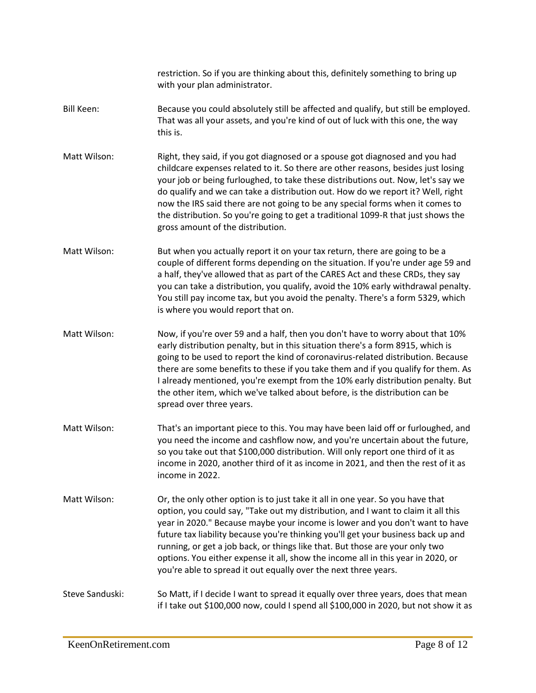restriction. So if you are thinking about this, definitely something to bring up with your plan administrator. Bill Keen: Because you could absolutely still be affected and qualify, but still be employed. That was all your assets, and you're kind of out of luck with this one, the way this is. Matt Wilson: Right, they said, if you got diagnosed or a spouse got diagnosed and you had childcare expenses related to it. So there are other reasons, besides just losing your job or being furloughed, to take these distributions out. Now, let's say we do qualify and we can take a distribution out. How do we report it? Well, right now the IRS said there are not going to be any special forms when it comes to the distribution. So you're going to get a traditional 1099-R that just shows the gross amount of the distribution. Matt Wilson: But when you actually report it on your tax return, there are going to be a couple of different forms depending on the situation. If you're under age 59 and a half, they've allowed that as part of the CARES Act and these CRDs, they say you can take a distribution, you qualify, avoid the 10% early withdrawal penalty. You still pay income tax, but you avoid the penalty. There's a form 5329, which is where you would report that on. Matt Wilson: Now, if you're over 59 and a half, then you don't have to worry about that 10% early distribution penalty, but in this situation there's a form 8915, which is going to be used to report the kind of coronavirus-related distribution. Because there are some benefits to these if you take them and if you qualify for them. As I already mentioned, you're exempt from the 10% early distribution penalty. But the other item, which we've talked about before, is the distribution can be spread over three years. Matt Wilson: That's an important piece to this. You may have been laid off or furloughed, and you need the income and cashflow now, and you're uncertain about the future, so you take out that \$100,000 distribution. Will only report one third of it as income in 2020, another third of it as income in 2021, and then the rest of it as income in 2022. Matt Wilson: Or, the only other option is to just take it all in one year. So you have that option, you could say, "Take out my distribution, and I want to claim it all this year in 2020." Because maybe your income is lower and you don't want to have future tax liability because you're thinking you'll get your business back up and running, or get a job back, or things like that. But those are your only two options. You either expense it all, show the income all in this year in 2020, or you're able to spread it out equally over the next three years. Steve Sanduski: So Matt, if I decide I want to spread it equally over three years, does that mean if I take out \$100,000 now, could I spend all \$100,000 in 2020, but not show it as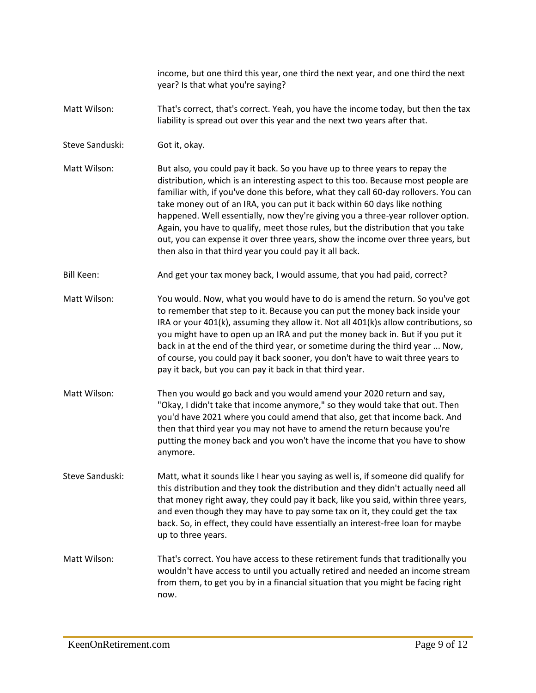income, but one third this year, one third the next year, and one third the next year? Is that what you're saying?

- Matt Wilson: That's correct, that's correct. Yeah, you have the income today, but then the tax liability is spread out over this year and the next two years after that.
- Steve Sanduski: Got it, okay.
- Matt Wilson: But also, you could pay it back. So you have up to three years to repay the distribution, which is an interesting aspect to this too. Because most people are familiar with, if you've done this before, what they call 60-day rollovers. You can take money out of an IRA, you can put it back within 60 days like nothing happened. Well essentially, now they're giving you a three-year rollover option. Again, you have to qualify, meet those rules, but the distribution that you take out, you can expense it over three years, show the income over three years, but then also in that third year you could pay it all back.
- Bill Keen: And get your tax money back, I would assume, that you had paid, correct?
- Matt Wilson: You would. Now, what you would have to do is amend the return. So you've got to remember that step to it. Because you can put the money back inside your IRA or your 401(k), assuming they allow it. Not all 401(k)s allow contributions, so you might have to open up an IRA and put the money back in. But if you put it back in at the end of the third year, or sometime during the third year ... Now, of course, you could pay it back sooner, you don't have to wait three years to pay it back, but you can pay it back in that third year.
- Matt Wilson: Then you would go back and you would amend your 2020 return and say, "Okay, I didn't take that income anymore," so they would take that out. Then you'd have 2021 where you could amend that also, get that income back. And then that third year you may not have to amend the return because you're putting the money back and you won't have the income that you have to show anymore.
- Steve Sanduski: Matt, what it sounds like I hear you saying as well is, if someone did qualify for this distribution and they took the distribution and they didn't actually need all that money right away, they could pay it back, like you said, within three years, and even though they may have to pay some tax on it, they could get the tax back. So, in effect, they could have essentially an interest-free loan for maybe up to three years.
- Matt Wilson: That's correct. You have access to these retirement funds that traditionally you wouldn't have access to until you actually retired and needed an income stream from them, to get you by in a financial situation that you might be facing right now.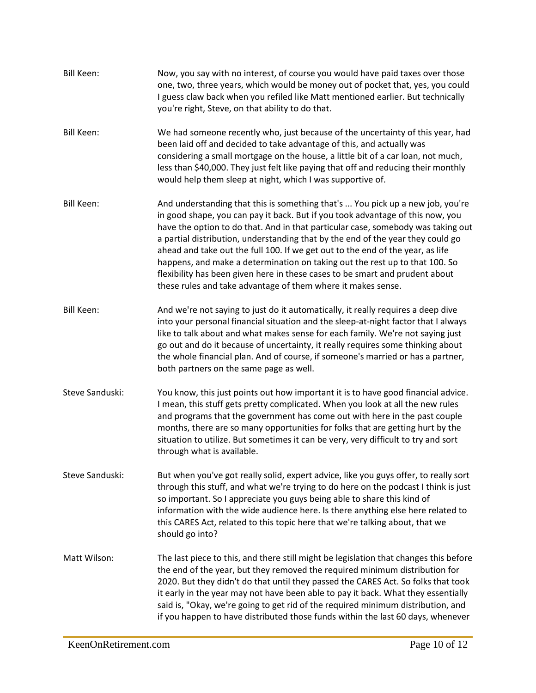| Bill Keen:        | Now, you say with no interest, of course you would have paid taxes over those<br>one, two, three years, which would be money out of pocket that, yes, you could<br>I guess claw back when you refiled like Matt mentioned earlier. But technically<br>you're right, Steve, on that ability to do that.                                                                                                                                                                                                                                                                                                                                                   |
|-------------------|----------------------------------------------------------------------------------------------------------------------------------------------------------------------------------------------------------------------------------------------------------------------------------------------------------------------------------------------------------------------------------------------------------------------------------------------------------------------------------------------------------------------------------------------------------------------------------------------------------------------------------------------------------|
| <b>Bill Keen:</b> | We had someone recently who, just because of the uncertainty of this year, had<br>been laid off and decided to take advantage of this, and actually was<br>considering a small mortgage on the house, a little bit of a car loan, not much,<br>less than \$40,000. They just felt like paying that off and reducing their monthly<br>would help them sleep at night, which I was supportive of.                                                                                                                                                                                                                                                          |
| <b>Bill Keen:</b> | And understanding that this is something that's  You pick up a new job, you're<br>in good shape, you can pay it back. But if you took advantage of this now, you<br>have the option to do that. And in that particular case, somebody was taking out<br>a partial distribution, understanding that by the end of the year they could go<br>ahead and take out the full 100. If we get out to the end of the year, as life<br>happens, and make a determination on taking out the rest up to that 100. So<br>flexibility has been given here in these cases to be smart and prudent about<br>these rules and take advantage of them where it makes sense. |
| <b>Bill Keen:</b> | And we're not saying to just do it automatically, it really requires a deep dive<br>into your personal financial situation and the sleep-at-night factor that I always<br>like to talk about and what makes sense for each family. We're not saying just<br>go out and do it because of uncertainty, it really requires some thinking about<br>the whole financial plan. And of course, if someone's married or has a partner,<br>both partners on the same page as well.                                                                                                                                                                                |
| Steve Sanduski:   | You know, this just points out how important it is to have good financial advice.<br>I mean, this stuff gets pretty complicated. When you look at all the new rules<br>and programs that the government has come out with here in the past couple<br>months, there are so many opportunities for folks that are getting hurt by the<br>situation to utilize. But sometimes it can be very, very difficult to try and sort<br>through what is available.                                                                                                                                                                                                  |
| Steve Sanduski:   | But when you've got really solid, expert advice, like you guys offer, to really sort<br>through this stuff, and what we're trying to do here on the podcast I think is just<br>so important. So I appreciate you guys being able to share this kind of<br>information with the wide audience here. Is there anything else here related to<br>this CARES Act, related to this topic here that we're talking about, that we<br>should go into?                                                                                                                                                                                                             |
| Matt Wilson:      | The last piece to this, and there still might be legislation that changes this before<br>the end of the year, but they removed the required minimum distribution for<br>2020. But they didn't do that until they passed the CARES Act. So folks that took<br>it early in the year may not have been able to pay it back. What they essentially<br>said is, "Okay, we're going to get rid of the required minimum distribution, and<br>if you happen to have distributed those funds within the last 60 days, whenever                                                                                                                                    |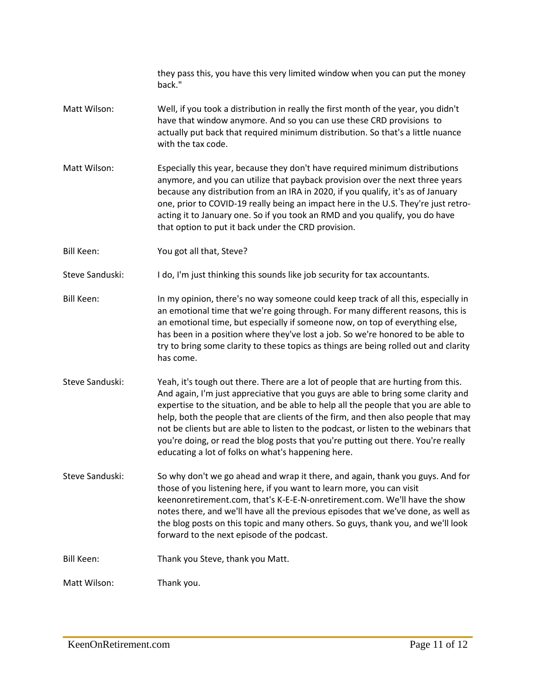|                   | they pass this, you have this very limited window when you can put the money<br>back."                                                                                                                                                                                                                                                                                                                                                                                                                                                                                                |
|-------------------|---------------------------------------------------------------------------------------------------------------------------------------------------------------------------------------------------------------------------------------------------------------------------------------------------------------------------------------------------------------------------------------------------------------------------------------------------------------------------------------------------------------------------------------------------------------------------------------|
| Matt Wilson:      | Well, if you took a distribution in really the first month of the year, you didn't<br>have that window anymore. And so you can use these CRD provisions to<br>actually put back that required minimum distribution. So that's a little nuance<br>with the tax code.                                                                                                                                                                                                                                                                                                                   |
| Matt Wilson:      | Especially this year, because they don't have required minimum distributions<br>anymore, and you can utilize that payback provision over the next three years<br>because any distribution from an IRA in 2020, if you qualify, it's as of January<br>one, prior to COVID-19 really being an impact here in the U.S. They're just retro-<br>acting it to January one. So if you took an RMD and you qualify, you do have<br>that option to put it back under the CRD provision.                                                                                                        |
| <b>Bill Keen:</b> | You got all that, Steve?                                                                                                                                                                                                                                                                                                                                                                                                                                                                                                                                                              |
| Steve Sanduski:   | I do, I'm just thinking this sounds like job security for tax accountants.                                                                                                                                                                                                                                                                                                                                                                                                                                                                                                            |
| <b>Bill Keen:</b> | In my opinion, there's no way someone could keep track of all this, especially in<br>an emotional time that we're going through. For many different reasons, this is<br>an emotional time, but especially if someone now, on top of everything else,<br>has been in a position where they've lost a job. So we're honored to be able to<br>try to bring some clarity to these topics as things are being rolled out and clarity<br>has come.                                                                                                                                          |
| Steve Sanduski:   | Yeah, it's tough out there. There are a lot of people that are hurting from this.<br>And again, I'm just appreciative that you guys are able to bring some clarity and<br>expertise to the situation, and be able to help all the people that you are able to<br>help, both the people that are clients of the firm, and then also people that may<br>not be clients but are able to listen to the podcast, or listen to the webinars that<br>you're doing, or read the blog posts that you're putting out there. You're really<br>educating a lot of folks on what's happening here. |
| Steve Sanduski:   | So why don't we go ahead and wrap it there, and again, thank you guys. And for<br>those of you listening here, if you want to learn more, you can visit<br>keenonretirement.com, that's K-E-E-N-onretirement.com. We'll have the show<br>notes there, and we'll have all the previous episodes that we've done, as well as<br>the blog posts on this topic and many others. So guys, thank you, and we'll look<br>forward to the next episode of the podcast.                                                                                                                         |
| Bill Keen:        | Thank you Steve, thank you Matt.                                                                                                                                                                                                                                                                                                                                                                                                                                                                                                                                                      |
| Matt Wilson:      | Thank you.                                                                                                                                                                                                                                                                                                                                                                                                                                                                                                                                                                            |